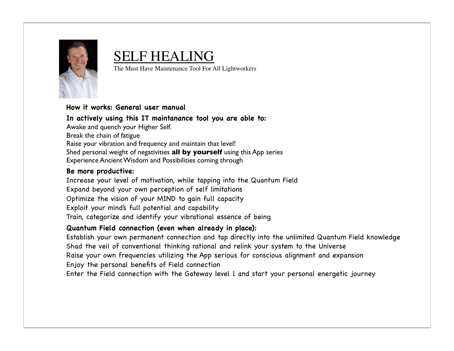

#### SELF HEALING

The Must Have Maintenance Tool For All Lightworkers

#### **How it works: General user manual**

**In actively using this IT maintanance tool you are able to:** Awake and quench your Higher Self. Break the chain of fatigue Raise your vibration and frequency and maintain that level! Shed personal weight of negativities **all by yourself** using this App series Experience Ancient Wisdom and Possibilities coming through

#### **Be more productive:**

Increase your level of motivation, while tapping into the Quantum Field Expand beyond your own perception of self limitations Optimize the vision of your MIND to gain full capacity Exploit your mind's full potential and capability Train, categorize and identify your vibrational essence of being

#### **Quantum Field connection (even when already in place):**

Establish your own permanent connection and tap directly into the unlimited Quantum Field knowledge Shad the veil of conventional thinking rational and relink your system to the Universe Raise your own frequencies utilizing the App serious for conscious alignment and expansion Enjoy the personal benefits of Field connection

Enter the Field connection with the Gateway level 1 and start your personal energetic journey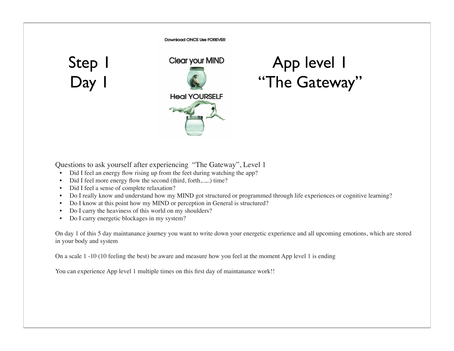**Download ONCE Use FOREVER** 

Step 1 Day 1



#### App level 1 "The Gateway"

Questions to ask yourself after experiencing "The Gateway", Level 1

- Did I feel an energy flow rising up from the feet during watching the app?
- Did I feel more energy flow the second (third, forth,..,..) time?
- Did I feel a sense of complete relaxation?
- Do I really know and understand how my MIND got structured or programmed through life experiences or cognitive learning?
- Do I know at this point how my MIND or perception in General is structured?
- Do I carry the heaviness of this world on my shoulders?
- Do I carry energetic blockages in my system?

On day 1 of this 5 day maintanance journey you want to write down your energetic experience and all upcoming emotions, which are stored in your body and system

On a scale 1 -10 (10 feeling the best) be aware and measure how you feel at the moment App level 1 is ending

You can experience App level 1 multiple times on this first day of maintanance work!!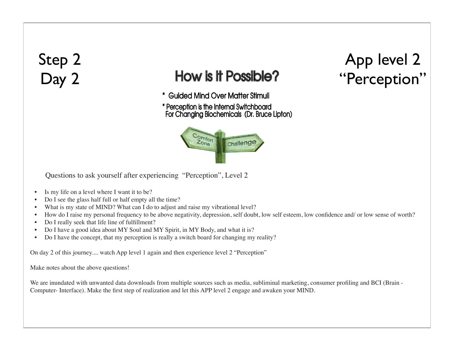#### Step 2 Day 2

#### **How is it Possible?**

\* Guided Mind Over Matter Stimuli

\* Perception is the Internal Switchboard For Changing Biochemicals (Dr. Bruce Lipton)



Questions to ask yourself after experiencing "Perception", Level 2

- Is my life on a level where I want it to be?
- Do I see the glass half full or half empty all the time?
- What is my state of MIND? What can I do to adjust and raise my vibrational level?
- How do I raise my personal frequency to be above negativity, depression, self doubt, low self esteem, low confidence and/ or low sense of worth?
- Do I really seek that life line of fulfillment?
- Do I have a good idea about MY Soul and MY Spirit, in MY Body, and what it is?
- Do I have the concept, that my perception is really a switch board for changing my reality?

On day 2 of this journey.... watch App level 1 again and then experience level 2 "Perception"

Make notes about the above questions!

We are inundated with unwanted data downloads from multiple sources such as media, subliminal marketing, consumer profiling and BCI (Brain - Computer- Interface). Make the first step of realization and let this APP level 2 engage and awaken your MIND.

### App level 2 "Perception"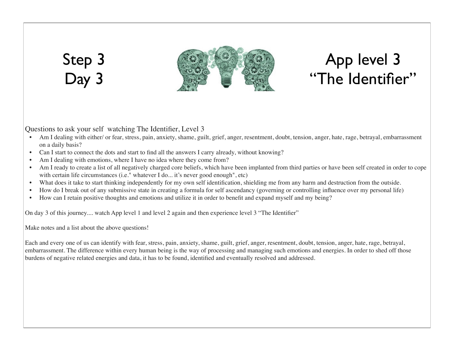#### Step 3 Day 3



### App level 3 "The Identifier"

Questions to ask your self watching The Identifier, Level 3

- Am I dealing with either/ or fear, stress, pain, anxiety, shame, guilt, grief, anger, resentment, doubt, tension, anger, hate, rage, betrayal, embarrassment on a daily basis?
- Can I start to connect the dots and start to find all the answers I carry already, without knowing?
- Am I dealing with emotions, where I have no idea where they come from?
- Am I ready to create a list of all negatively charged core beliefs, which have been implanted from third parties or have been self created in order to cope with certain life circumstances (i.e." whatever I do... it's never good enough", etc)
- What does it take to start thinking independently for my own self identification, shielding me from any harm and destruction from the outside.
- How do I break out of any submissive state in creating a formula for self ascendancy (governing or controlling influence over my personal life)
- How can I retain positive thoughts and emotions and utilize it in order to benefit and expand myself and my being?

On day 3 of this journey.... watch App level 1 and level 2 again and then experience level 3 "The Identifier"

Make notes and a list about the above questions!

Each and every one of us can identify with fear, stress, pain, anxiety, shame, guilt, grief, anger, resentment, doubt, tension, anger, hate, rage, betrayal, embarrassment. The difference within every human being is the way of processing and managing such emotions and energies. In order to shed off those burdens of negative related energies and data, it has to be found, identified and eventually resolved and addressed.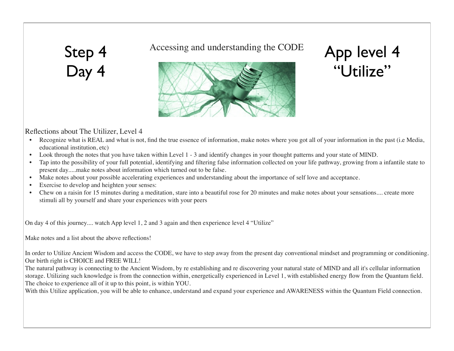## Step 4 Day 4

Accessing and understanding the CODE



# App level 4 "Utilize"

#### Reflections about The Utilizer, Level 4

- Recognize what is REAL and what is not, find the true essence of information, make notes where you got all of your information in the past (i.e Media, educational institution, etc)
- Look through the notes that you have taken within Level 1 3 and identify changes in your thought patterns and your state of MIND.
- Tap into the possibility of your full potential, identifying and filtering false information collected on your life pathway, growing from a infantile state to present day.....make notes about information which turned out to be false.
- Make notes about your possible accelerating experiences and understanding about the importance of self love and acceptance.
- Exercise to develop and heighten your senses:
- Chew on a raisin for 15 minutes during a meditation, stare into a beautiful rose for 20 minutes and make notes about your sensations.... create more stimuli all by yourself and share your experiences with your peers

On day 4 of this journey.... watch App level 1, 2 and 3 again and then experience level 4 "Utilize"

Make notes and a list about the above reflections!

In order to Utilize Ancient Wisdom and access the CODE, we have to step away from the present day conventional mindset and programming or conditioning. Our birth right is CHOICE and FREE WILL!

The natural pathway is connecting to the Ancient Wisdom, by re establishing and re discovering your natural state of MIND and all it's cellular information storage. Utilizing such knowledge is from the connection within, energetically experienced in Level 1, with established energy flow from the Quantum field. The choice to experience all of it up to this point, is within YOU.

With this Utilize application, you will be able to enhance, understand and expand your experience and AWARENESS within the Quantum Field connection.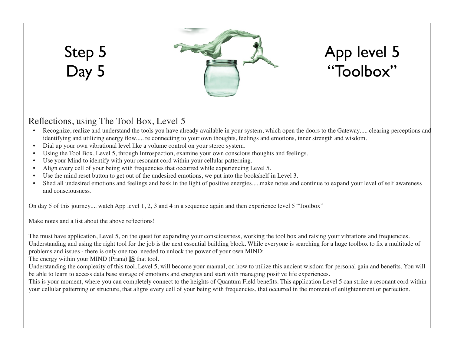# Step 5 Day 5



# App level 5 "Toolbox"

#### Reflections, using The Tool Box, Level 5

- Recognize, realize and understand the tools you have already available in your system, which open the doors to the Gateway..... clearing perceptions and identifying and utilizing energy flow..... re connecting to your own thoughts, feelings and emotions, inner strength and wisdom.
- Dial up your own vibrational level like a volume control on your stereo system.
- Using the Tool Box, Level 5, through Introspection, examine your own conscious thoughts and feelings.
- Use your Mind to identify with your resonant cord within your cellular patterning.
- Align every cell of your being with frequencies that occurred while experiencing Level 5.
- Use the mind reset button to get out of the undesired emotions, we put into the bookshelf in Level 3.
- Shed all undesired emotions and feelings and bask in the light of positive energies.....make notes and continue to expand your level of self awareness and consciousness.

On day 5 of this journey.... watch App level 1, 2, 3 and 4 in a sequence again and then experience level 5 "Toolbox"

Make notes and a list about the above reflections!

The must have application, Level 5, on the quest for expanding your consciousness, working the tool box and raising your vibrations and frequencies. Understanding and using the right tool for the job is the next essential building block. While everyone is searching for a huge toolbox to fix a multitude of problems and issues - there is only one tool needed to unlock the power of your own MIND:

The energy within your MIND (Prana) **IS** that tool.

Understanding the complexity of this tool, Level 5, will become your manual, on how to utilize this ancient wisdom for personal gain and benefits. You will be able to learn to access data base storage of emotions and energies and start with managing positive life experiences.

This is your moment, where you can completely connect to the heights of Quantum Field benefits. This application Level 5 can strike a resonant cord within your cellular patterning or structure, that aligns every cell of your being with frequencies, that occurred in the moment of enlightenment or perfection.